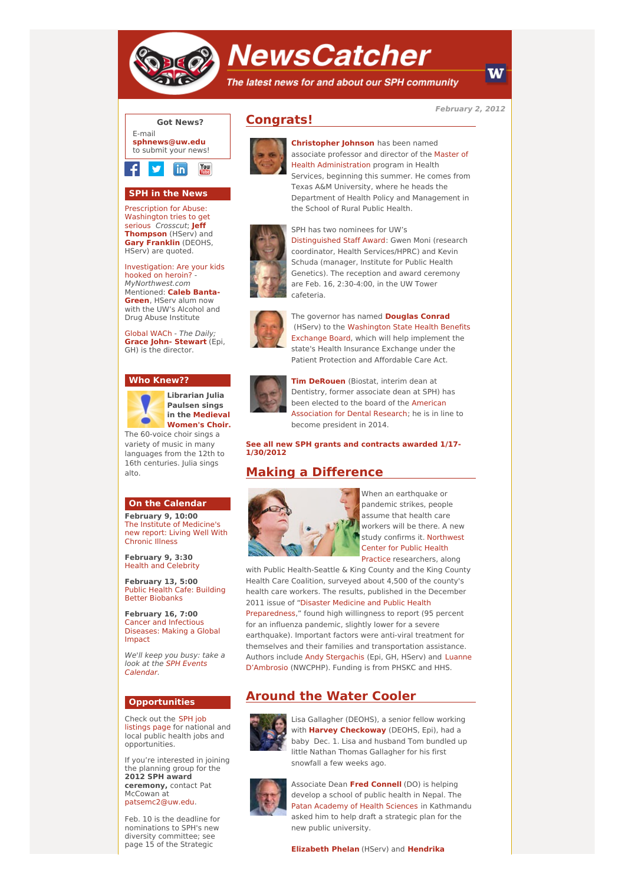

# **NewsCatcher**

The latest news for and about our SPH community

**February 2, 2012**

W



### **SPH in the News**

Prescription for Abuse: [Washington](http://engage.washington.edu/site/R?i=VoLYo2f9-qSxhtbBTlCVuw) tries to get serious Crosscut; **Jeff [Thompson](http://engage.washington.edu/site/R?i=6Y96CVN4RDQsiwhq6YF5dA)** (HServ) and **Gary [Franklin](http://engage.washington.edu/site/R?i=NQwVcDITLpbmKDR1EqNMTw)** (DEOHS, HServ) are quoted.

[Investigation:](http://engage.washington.edu/site/R?i=mGhfRKrXBCpwYjS02IlKtg) Are your kids hooked on heroin? - MyNorthwest.com [Mentioned:](http://engage.washington.edu/site/R?i=buV2m3b6cmNoxYVbz22Xsw) **Caleb Banta-Green**, HServ alum now with the UW's Alcohol and Drug Abuse Institute

[Global](http://engage.washington.edu/site/R?i=MDeTfPYZR_lMV2001Dl9aQ) WACh - The Daily; **Grace John- [Stewart](http://engage.washington.edu/site/R?i=KoTgrTh7WGQ-0HRDlu8Eeg)** (Epi, GH) is the director.

#### **Who Knew??**



**Librarian Julia Paulsen sings in the [Medieval](http://engage.washington.edu/site/R?i=7nMoIAeUOgjP_EnUxdo6Iw) Women's Choir.**

variety of music in many languages from the 12th to 16th centuries. Julia sings alto.

#### **On the Calendar**

**February 9, 10:00** The Institute of [Medicine's](http://engage.washington.edu/site/R?i=T3_D-yToOI5ZJMjkXb-a3A) new report: Living Well With Chronic Illness

**February 9, 3:30** Health and [Celebrity](http://engage.washington.edu/site/R?i=QAesuZhUHYRcvX_rXHFDFQ)

**February 13, 5:00** Public Health Cafe: Building Better [Biobanks](http://engage.washington.edu/site/R?i=aLX1MVe8Dy88Op_Z6lBGNQ)

**February 16, 7:00** Cancer and [Infectious](http://engage.washington.edu/site/R?i=J1j_UaMOuPIo6fWv_6TPRA) Diseases: Making a Global Impact

We'll keep you busy: take a look at the SPH Events [Calendar.](http://engage.washington.edu/site/R?i=ht9BrFvHI-5aM0-ccWB4Ng)

#### **Opportunities**

Check out the SPH job [listings](http://engage.washington.edu/site/R?i=ARgu4APQWurLs1SRgT1rFA) page for national and local public health jobs and opportunities.

If you're interested in joining the planning group for the **2012 SPH award ceremony,** contact Pat McCowan at [patsemc2@uw.edu](mailto:patsemc2@uw.edu).

Feb. 10 is the deadline for nominations to SPH's new diversity committee; see page 15 of the Strategic

## **Congrats!**



**[Christopher](http://engage.washington.edu/site/R?i=t7k9BHRSj9KJuWfwunZdew) Johnson** has been named associate professor and director of the Master of Health [Administration](http://engage.washington.edu/site/R?i=d4aegggm4Hoi9MMCFdAQow) program in Health Services, beginning this summer. He comes from Texas A&M University, where he heads the Department of Health Policy and Management in the School of Rural Public Health.



SPH has two nominees for UW's [Distinguished](http://engage.washington.edu/site/R?i=XXI_eXRF4qN0HbdZoGKmRA) Staff Award: Gwen Moni (research coordinator, Health Services/HPRC) and Kevin Schuda (manager, Institute for Public Health Genetics). The reception and award ceremony are Feb. 16, 2:30-4:00, in the UW Tower cafeteria.



The governor has named **[Douglas](http://engage.washington.edu/site/R?i=6WJEE742Ka44aIVvVmmsRw) Conrad** (HServ) to the [Washington](http://engage.washington.edu/site/R?i=XthzoyLpu7HDAGQghTDZpg) State Health Benefits Exchange Board, which will help implement the state's Health Insurance Exchange under the Patient Protection and Affordable Care Act.



**Tim [DeRouen](http://engage.washington.edu/site/R?i=S4ezcUdlwLiC8hsfP218JA)** (Biostat, interim dean at Dentistry, former associate dean at SPH) has been elected to the board of the American [Association](http://engage.washington.edu/site/R?i=mNiBewhKvYuumlY6XG0suQ) for Dental Research; he is in line to become president in 2014.

**See all new SPH grants and [contracts](http://engage.washington.edu/site/R?i=UVQbUnATETc9SzAlTsqfMg) awarded 1/17- 1/30/2012**

## **Making a Difference**



When an earthquake or pandemic strikes, people assume that health care workers will be there. A new study confirms it. Northwest Center for Public Health Practice [researchers,](http://engage.washington.edu/site/R?i=-jsXxLXtWakWKStu3hLNaw) along

with Public Health-Seattle & King County and the King County Health Care Coalition, surveyed about 4,500 of the county's health care workers. The results, published in the December 2011 issue of "Disaster Medicine and Public Health [Preparedness,"](http://engage.washington.edu/site/R?i=SM0Tqe7roCx1WSaJKona-A) found high willingness to report (95 percent for an influenza pandemic, slightly lower for a severe earthquake). Important factors were anti-viral treatment for themselves and their families and transportation assistance. Authors include Andy [Stergachis](http://engage.washington.edu/site/R?i=AgPH79tjq1aX-CFz-dASEQ) (Epi, GH, HServ) and Luanne [D'Ambrosio](http://engage.washington.edu/site/R?i=dV1u5aLagheeYyqhOEvBaQ) (NWCPHP). Funding is from PHSKC and HHS.

## **Around the Water Cooler**



Lisa Gallagher (DEOHS), a senior fellow working with **Harvey [Checkoway](http://engage.washington.edu/site/R?i=DejvflreFqX6vD1d7sOuow)** (DEOHS, Epi), had a baby Dec. 1. Lisa and husband Tom bundled up little Nathan Thomas Gallagher for his first snowfall a few weeks ago.



Associate Dean **Fred [Connell](http://engage.washington.edu/site/R?i=aLc7-LC_n24GxHpcFVrnVQ)** (DO) is helping develop a school of public health in Nepal. The Patan [Academy](http://engage.washington.edu/site/R?i=y7xt7U2P22aUk0G8PywZeg) of Health Sciences in Kathmandu asked him to help draft a strategic plan for the new public university.

**[Elizabeth](http://engage.washington.edu/site/R?i=1NUqut6WybBsUkb-jn66OQ) Phelan** (HServ) and **Hendrika**